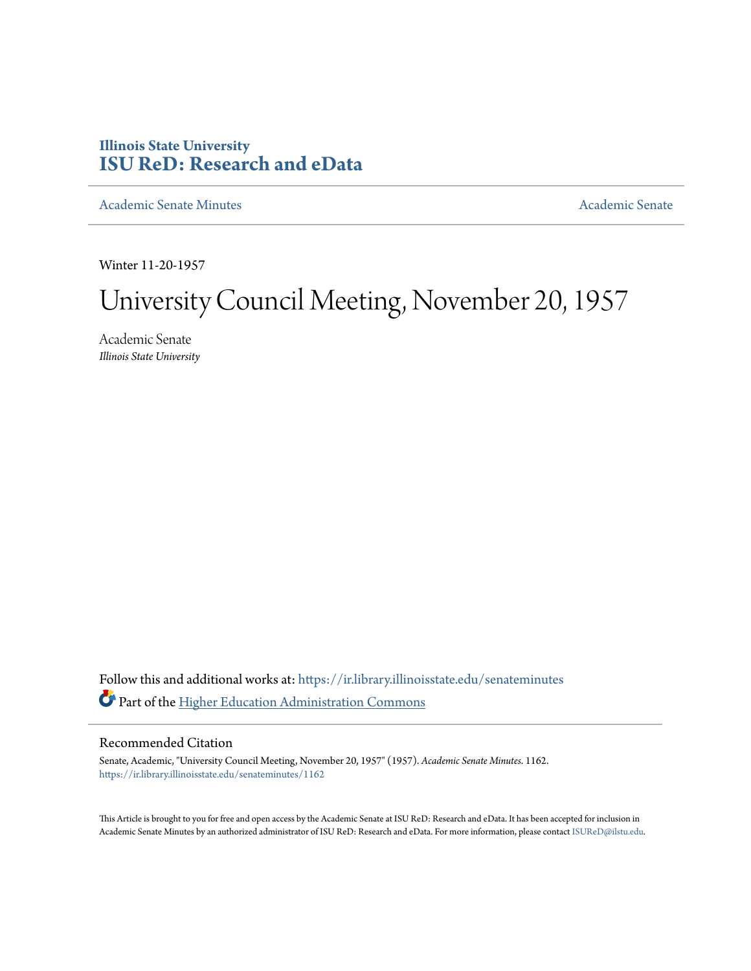## **Illinois State University [ISU ReD: Research and eData](https://ir.library.illinoisstate.edu?utm_source=ir.library.illinoisstate.edu%2Fsenateminutes%2F1162&utm_medium=PDF&utm_campaign=PDFCoverPages)**

[Academic Senate Minutes](https://ir.library.illinoisstate.edu/senateminutes?utm_source=ir.library.illinoisstate.edu%2Fsenateminutes%2F1162&utm_medium=PDF&utm_campaign=PDFCoverPages) [Academic Senate](https://ir.library.illinoisstate.edu/senate?utm_source=ir.library.illinoisstate.edu%2Fsenateminutes%2F1162&utm_medium=PDF&utm_campaign=PDFCoverPages) Academic Senate

Winter 11-20-1957

## University Council Meeting, November 20, 1957

Academic Senate *Illinois State University*

Follow this and additional works at: [https://ir.library.illinoisstate.edu/senateminutes](https://ir.library.illinoisstate.edu/senateminutes?utm_source=ir.library.illinoisstate.edu%2Fsenateminutes%2F1162&utm_medium=PDF&utm_campaign=PDFCoverPages) Part of the [Higher Education Administration Commons](http://network.bepress.com/hgg/discipline/791?utm_source=ir.library.illinoisstate.edu%2Fsenateminutes%2F1162&utm_medium=PDF&utm_campaign=PDFCoverPages)

## Recommended Citation

Senate, Academic, "University Council Meeting, November 20, 1957" (1957). *Academic Senate Minutes*. 1162. [https://ir.library.illinoisstate.edu/senateminutes/1162](https://ir.library.illinoisstate.edu/senateminutes/1162?utm_source=ir.library.illinoisstate.edu%2Fsenateminutes%2F1162&utm_medium=PDF&utm_campaign=PDFCoverPages)

This Article is brought to you for free and open access by the Academic Senate at ISU ReD: Research and eData. It has been accepted for inclusion in Academic Senate Minutes by an authorized administrator of ISU ReD: Research and eData. For more information, please contact [ISUReD@ilstu.edu.](mailto:ISUReD@ilstu.edu)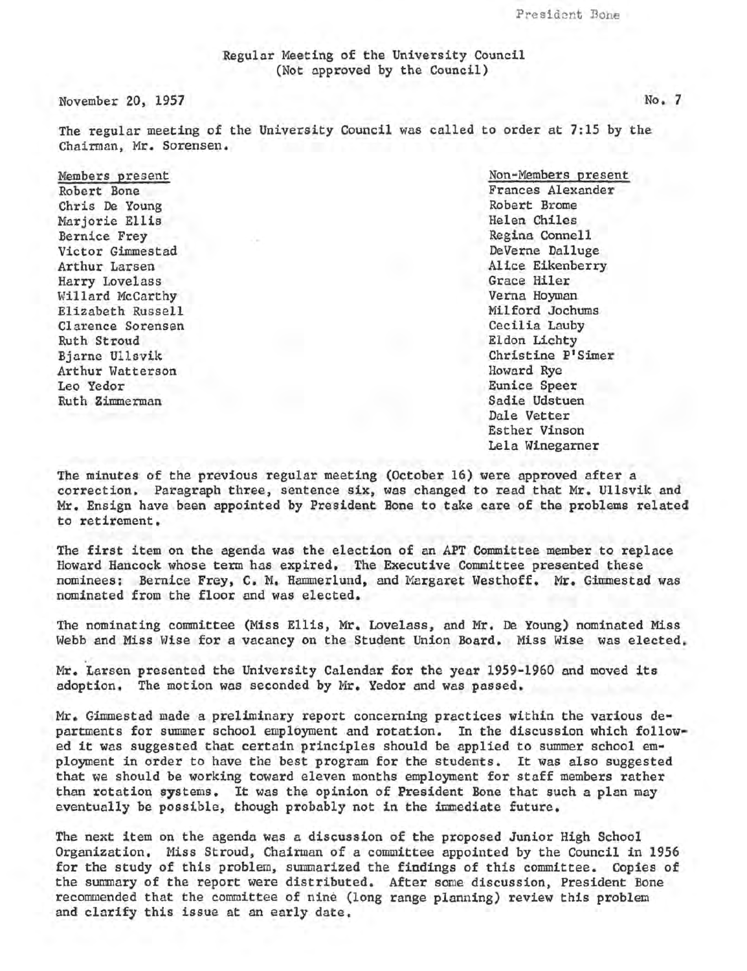Regular Meeting of the University Council (Not approved by the Council)

November 20, 1957

The regular meeting of the University Council was called to order at 7:15 by the Chairman, Mr. Sorensen.

Members present Robert Bone Chris De Young Marjorie Ellis Bernice Frey Victor Gimmestad Arthur Larsen Harry Lovelass Willard McCarthy Elizabeth Russell Clarence Sorensen Ruth Stroud Bjarne Ullsvik Arthur Watterson Leo Yedor Ruth Zimmerman

Non-Members present Frances Alexander Robert Brome Helen Chiles Regina Connell DeVerne Dalluge Alice Eikenberry Grace Hiler Verna Hoyman Milford Jochums Cecilia Lauby Eldon Lichty Christine P1Simer Howard Rye Eunice Speer Sadie Udstuen Dale Vetter Esther Vinson Lela Winegarner

The minutes of the previous regular meeting (October 16) were approved after a correction. Paragraph three, sentence six, was changed to read that Mr. Ullsvik and Mr. Ensign have been appointed by President Bone to take care of the problems related to retirement.

The first item on the agenda was the election of an APT Committee member to replace Howard Hancock whose term has expired. The Executive Committee presented these nominees: Bernice Frey, c. M. Hammerlund, and Margaret Westhoff. Mr. Gimmestad was nominated from the floor and was elected.

The nominating committee (Miss Ellis, Mr. Lovelass, and Mr. De Young) nominated Miss Webb and Miss Wise for a vacancy on the Student Union Board. Miss Wise was elected.

Mr. Larsen presented the University Calendar for the year 1959-1960 and moved its adoption. The motion was seconded by Mr. Yedor and was passed.

Mr. Gimmestad made a preliminary report concerning practices within the various departments for summer school employment and rotation. In the discussion which followedit was suggested that certain principles should be applied to summer school employment in order to have the best program for the students. It was also suggested that we should be working toward eleven months employment for staff members rather than rotation systems. It was the opinion of President Bone that such a plan may eventually be possible, though probably not in the immediate future.

The next item on the agenda was a discussion of the proposed Junior High School Organization. Miss Stroud, Chairman of a committee appointed by the Council in 1956 for the study of this problem, summarized the findings of this committee. Copies of the summary of the report were distributed. After some discussion, President Bone recommended that the committee of nine (long range planning) review this problem and clarify this issue at an early date.

No. 7